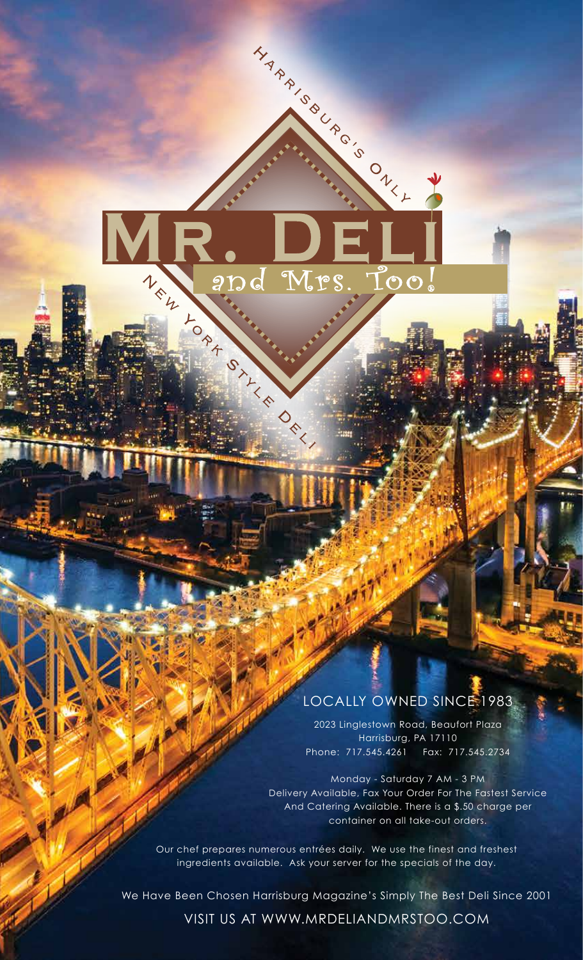

#### LOCALLY OWNED SINCE 1983

2023 Linglestown Road, Beaufort Plaza Harrisburg, PA 17110 Phone: 717.545.4261 Fax: 717.545.2734

Monday - Saturday 7 AM - 3 PM Delivery Available, Fax Your Order For The Fastest Service And Catering Available. There is a \$.50 charge per container on all take-out orders.

Our chef prepares numerous entrées daily. We use the finest and freshest ingredients available. Ask your server for the specials of the day.

We Have Been Chosen Harrisburg Magazine's Simply The Best Deli Since 2001

VISIT US AT WWW.MRDELIANDMRSTOO.COM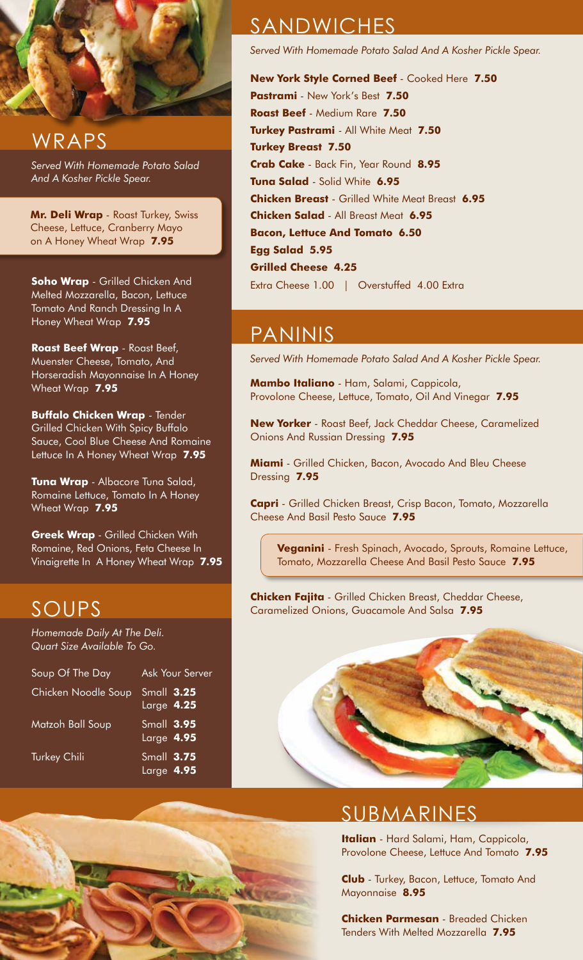

#### WRAPS

*Served With Homemade Potato Salad And A Kosher Pickle Spear.*

**Mr. Deli Wrap** - Roast Turkey, Swiss Cheese, Lettuce, Cranberry Mayo on A Honey Wheat Wrap **7.95**

**Soho Wrap** - Grilled Chicken And Melted Mozzarella, Bacon, Lettuce Tomato And Ranch Dressing In A Honey Wheat Wrap **7.95**

**Roast Beef Wrap** - Roast Beef, Muenster Cheese, Tomato, And Horseradish Mayonnaise In A Honey Wheat Wrap **7.95**

**Buffalo Chicken Wrap** - Tender Grilled Chicken With Spicy Buffalo Sauce, Cool Blue Cheese And Romaine Lettuce In A Honey Wheat Wrap **7.95**

**Tuna Wrap** - Albacore Tuna Salad, Romaine Lettuce, Tomato In A Honey Wheat Wrap **7.95**

**Greek Wrap** - Grilled Chicken With Romaine, Red Onions, Feta Cheese In Vinaigrette In A Honey Wheat Wrap **7.95**

#### SOUPS

*Homemade Daily At The Deli. Quart Size Available To Go.*

| Soup Of The Day     | <b>Ask Your Server</b>      |
|---------------------|-----------------------------|
| Chicken Noodle Soup | Small 3.25<br>$Large$ 4.25  |
| Matzoh Ball Soup    | $Sumall$ 3.95<br>Large 4.95 |
| <b>Turkey Chili</b> | Small 3.75<br>Large 4.95    |

## **SANDWICHES**

*Served With Homemade Potato Salad And A Kosher Pickle Spear.*

**New York Style Corned Beef** - Cooked Here **7.50 Pastrami** - New York's Best **7.50 Roast Beef** - Medium Rare **7.50 Turkey Pastrami** - All White Meat **7.50 Turkey Breast 7.50 Crab Cake** - Back Fin, Year Round **8.95 Tuna Salad** - Solid White **6.95 Chicken Breast** - Grilled White Meat Breast **6.95 Chicken Salad** - All Breast Meat **6.95 Bacon, Lettuce And Tomato 6.50 Egg Salad 5.95 Grilled Cheese 4.25** Extra Cheese 1.00 | Overstuffed 4.00 Extra

#### PANINIS

*Served With Homemade Potato Salad And A Kosher Pickle Spear.*

**Mambo Italiano** - Ham, Salami, Cappicola, Provolone Cheese, Lettuce, Tomato, Oil And Vinegar **7.95**

**New Yorker** - Roast Beef, Jack Cheddar Cheese, Caramelized Onions And Russian Dressing **7.95**

**Miami** - Grilled Chicken, Bacon, Avocado And Bleu Cheese Dressing **7.95**

**Capri** - Grilled Chicken Breast, Crisp Bacon, Tomato, Mozzarella Cheese And Basil Pesto Sauce **7.95**

**Veganini** - Fresh Spinach, Avocado, Sprouts, Romaine Lettuce, Tomato, Mozzarella Cheese And Basil Pesto Sauce **7.95**

**Chicken Fajita** - Grilled Chicken Breast, Cheddar Cheese, Caramelized Onions, Guacamole And Salsa **7.95**



## SUBMARINES

**Italian** - Hard Salami, Ham, Cappicola, Provolone Cheese, Lettuce And Tomato **7.95**

**Club** - Turkey, Bacon, Lettuce, Tomato And Mayonnaise **8.95**

**Chicken Parmesan** - Breaded Chicken Tenders With Melted Mozzarella **7.95**

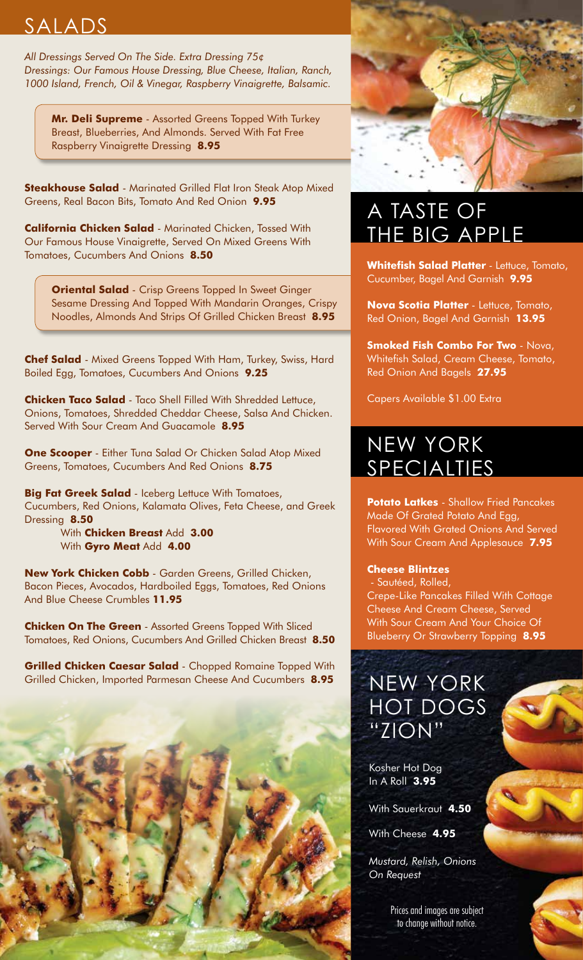## SALADS

*All Dressings Served On The Side. Extra Dressing 75¢ Dressings: Our Famous House Dressing, Blue Cheese, Italian, Ranch, 1000 Island, French, Oil & Vinegar, Raspberry Vinaigrette, Balsamic.* 

**Mr. Deli Supreme** - Assorted Greens Topped With Turkey Breast, Blueberries, And Almonds. Served With Fat Free Raspberry Vinaigrette Dressing **8.95**

**Steakhouse Salad** - Marinated Grilled Flat Iron Steak Atop Mixed Greens, Real Bacon Bits, Tomato And Red Onion **9.95**

**California Chicken Salad** - Marinated Chicken, Tossed With Our Famous House Vinaigrette, Served On Mixed Greens With Tomatoes, Cucumbers And Onions **8.50**

**Oriental Salad** - Crisp Greens Topped In Sweet Ginger Sesame Dressing And Topped With Mandarin Oranges, Crispy Noodles, Almonds And Strips Of Grilled Chicken Breast **8.95**

**Chef Salad** - Mixed Greens Topped With Ham, Turkey, Swiss, Hard Boiled Egg, Tomatoes, Cucumbers And Onions **9.25**

**Chicken Taco Salad** - Taco Shell Filled With Shredded Lettuce, Onions, Tomatoes, Shredded Cheddar Cheese, Salsa And Chicken. Served With Sour Cream And Guacamole **8.95**

**One Scooper** - Either Tuna Salad Or Chicken Salad Atop Mixed Greens, Tomatoes, Cucumbers And Red Onions **8.75**

**Big Fat Greek Salad** - Iceberg Lettuce With Tomatoes, Cucumbers, Red Onions, Kalamata Olives, Feta Cheese, and Greek Dressing **8.50**

 With **Chicken Breast** Add **3.00** With **Gyro Meat** Add **4.00**

**New York Chicken Cobb** - Garden Greens, Grilled Chicken, Bacon Pieces, Avocados, Hardboiled Eggs, Tomatoes, Red Onions And Blue Cheese Crumbles **11.95**

**Chicken On The Green** - Assorted Greens Topped With Sliced Tomatoes, Red Onions, Cucumbers And Grilled Chicken Breast **8.50**

**Grilled Chicken Caesar Salad** - Chopped Romaine Topped With Grilled Chicken, Imported Parmesan Cheese And Cucumbers **8.95** NEW YORK





## A TASTE OF THE BIG APPLE

**Whitefish Salad Platter** - Lettuce, Tomato, Cucumber, Bagel And Garnish **9.95**

**Nova Scotia Platter** - Lettuce, Tomato, Red Onion, Bagel And Garnish **13.95**

**Smoked Fish Combo For Two** - Nova, Whitefish Salad, Cream Cheese, Tomato, Red Onion And Bagels **27.95**

Capers Available \$1.00 Extra

## NEW YORK SPECIALTIES

**Potato Latkes** - Shallow Fried Pancakes Made Of Grated Potato And Egg, Flavored With Grated Onions And Served With Sour Cream And Applesauce **7.95**

#### **Cheese Blintzes**

- Sautéed, Rolled, Crepe-Like Pancakes Filled With Cottage Cheese And Cream Cheese, Served With Sour Cream And Your Choice Of Blueberry Or Strawberry Topping **8.95**

# HOT DOGS "ZION"

Kosher Hot Dog In A Roll **3.95**

With Sauerkraut **4.50**

With Cheese **4.95**

*Mustard, Relish, Onions On Request*

> Prices and images are subject to change without notice.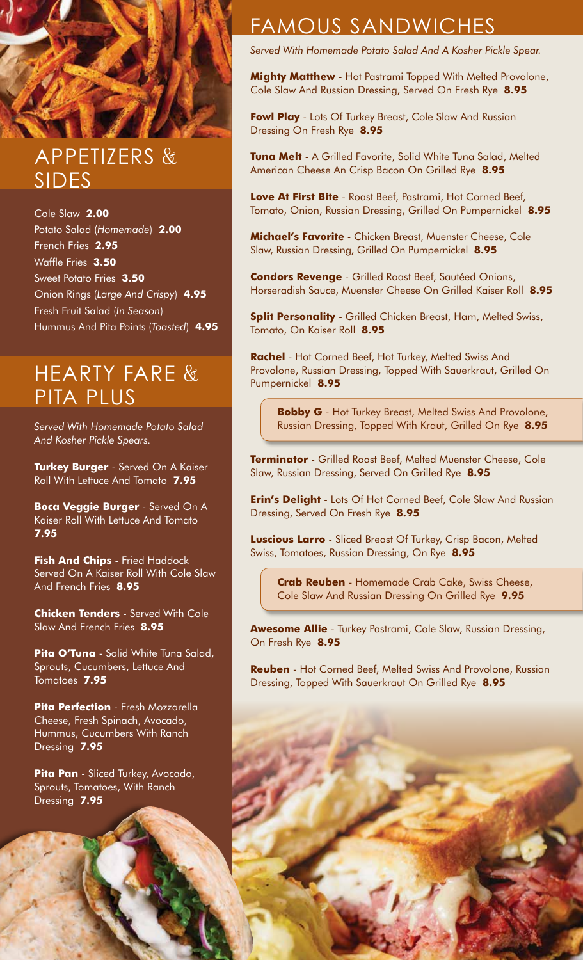## APPETIZERS & SIDES

Cole Slaw **2.00** Potato Salad (*Homemade*) **2.00** French Fries **2.95** Waffle Fries **3.50** Sweet Potato Fries **3.50** Onion Rings (*Large And Crispy*) **4.95** Fresh Fruit Salad (*In Season*) Hummus And Pita Points (*Toasted*) **4.95**

## HEARTY FARE & PITA PLUS

*Served With Homemade Potato Salad And Kosher Pickle Spears.*

**Turkey Burger** - Served On A Kaiser Roll With Lettuce And Tomato **7.95**

**Boca Veggie Burger** - Served On A Kaiser Roll With Lettuce And Tomato **7.95**

**Fish And Chips** - Fried Haddock Served On A Kaiser Roll With Cole Slaw And French Fries **8.95**

**Chicken Tenders** - Served With Cole Slaw And French Fries **8.95**

**Pita O'Tuna** - Solid White Tuna Salad, Sprouts, Cucumbers, Lettuce And Tomatoes **7.95**

**Pita Perfection** - Fresh Mozzarella Cheese, Fresh Spinach, Avocado, Hummus, Cucumbers With Ranch Dressing **7.95**

**Pita Pan** - Sliced Turkey, Avocado, Sprouts, Tomatoes, With Ranch Dressing **7.95**

#### FAMOUS SANDWICHES

*Served With Homemade Potato Salad And A Kosher Pickle Spear.*

**Mighty Matthew** - Hot Pastrami Topped With Melted Provolone, Cole Slaw And Russian Dressing, Served On Fresh Rye **8.95**

**Fowl Play** - Lots Of Turkey Breast, Cole Slaw And Russian Dressing On Fresh Rye **8.95**

**Tuna Melt** - A Grilled Favorite, Solid White Tuna Salad, Melted American Cheese An Crisp Bacon On Grilled Rye **8.95**

**Love At First Bite** - Roast Beef, Pastrami, Hot Corned Beef, Tomato, Onion, Russian Dressing, Grilled On Pumpernickel **8.95**

**Michael's Favorite** - Chicken Breast, Muenster Cheese, Cole Slaw, Russian Dressing, Grilled On Pumpernickel **8.95**

**Condors Revenge** - Grilled Roast Beef, Sautéed Onions, Horseradish Sauce, Muenster Cheese On Grilled Kaiser Roll **8.95**

**Split Personality** - Grilled Chicken Breast, Ham, Melted Swiss, Tomato, On Kaiser Roll **8.95**

**Rachel** - Hot Corned Beef, Hot Turkey, Melted Swiss And Provolone, Russian Dressing, Topped With Sauerkraut, Grilled On Pumpernickel **8.95**

**Bobby G** - Hot Turkey Breast, Melted Swiss And Provolone, Russian Dressing, Topped With Kraut, Grilled On Rye **8.95**

**Terminator** - Grilled Roast Beef, Melted Muenster Cheese, Cole Slaw, Russian Dressing, Served On Grilled Rye **8.95**

**Erin's Delight** - Lots Of Hot Corned Beef, Cole Slaw And Russian Dressing, Served On Fresh Rye **8.95**

**Luscious Larro** - Sliced Breast Of Turkey, Crisp Bacon, Melted Swiss, Tomatoes, Russian Dressing, On Rye **8.95**

**Crab Reuben** - Homemade Crab Cake, Swiss Cheese, Cole Slaw And Russian Dressing On Grilled Rye **9.95**

**Awesome Allie** - Turkey Pastrami, Cole Slaw, Russian Dressing, On Fresh Rye **8.95**

**Reuben** - Hot Corned Beef, Melted Swiss And Provolone, Russian Dressing, Topped With Sauerkraut On Grilled Rye **8.95**

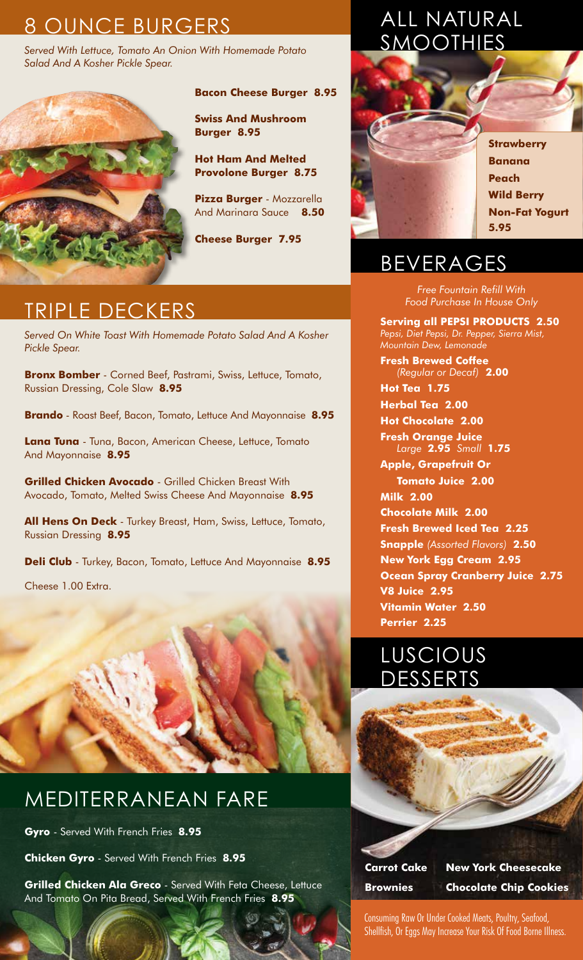## 8 OUNCE BURGERS

*Served With Lettuce, Tomato An Onion With Homemade Potato Salad And A Kosher Pickle Spear.*



**Bacon Cheese Burger 8.95** 

**Swiss And Mushroom Burger 8.95**

**Hot Ham And Melted Provolone Burger 8.75**

**Pizza Burger** - Mozzarella And Marinara Sauce **8.50**

**Cheese Burger 7.95**

## TRIPLE DECKERS

*Served On White Toast With Homemade Potato Salad And A Kosher Pickle Spear.*

**Bronx Bomber** - Corned Beef, Pastrami, Swiss, Lettuce, Tomato, Russian Dressing, Cole Slaw **8.95**

**Brando** - Roast Beef, Bacon, Tomato, Lettuce And Mayonnaise **8.95**

**Lana Tuna** - Tuna, Bacon, American Cheese, Lettuce, Tomato And Mayonnaise **8.95**

**Grilled Chicken Avocado** - Grilled Chicken Breast With Avocado, Tomato, Melted Swiss Cheese And Mayonnaise **8.95**

**All Hens On Deck** - Turkey Breast, Ham, Swiss, Lettuce, Tomato, Russian Dressing **8.95**

**Deli Club** - Turkey, Bacon, Tomato, Lettuce And Mayonnaise **8.95**

Cheese 1.00 Extra.



## MEDITERRANEAN FARE

**Gyro** - Served With French Fries **8.95**

**Chicken Gyro** - Served With French Fries **8.95**

**Grilled Chicken Ala Greco** - Served With Feta Cheese, Lettuce And Tomato On Pita Bread, Served With French Fries **8.95**

## ALL NATURAL SMOOTHIES



**Strawberry Banana Peach Wild Berry Non-Fat Yogurt 5.95**

## BEVERAGES

*Free Fountain Refill With Food Purchase In House Only*

**Serving all PEPSI PRODUCTS 2.50** *Pepsi, Diet Pepsi, Dr. Pepper, Sierra Mist, Mountain Dew, Lemonade*

**Fresh Brewed Coffee** *(Regular or Decaf)* **2.00**

**Hot Tea 1.75 Herbal Tea 2.00**

**Hot Chocolate 2.00**

**Fresh Orange Juice** *Large* **2.95** *Small* **1.75**

**Apple, Grapefruit Or Tomato Juice 2.00 Milk 2.00 Chocolate Milk 2.00 Fresh Brewed Iced Tea 2.25 Snapple** *(Assorted Flavors)* **2.50 New York Egg Cream 2.95 Ocean Spray Cranberry Juice 2.75 V8 Juice 2.95 Vitamin Water 2.50 Perrier 2.25**





**Carrot Cake New York Cheesecake**

**Brownies Chocolate Chip Cookies**

Consuming Raw Or Under Cooked Meats, Poultry, Seafood, Shellfish, Or Eggs May Increase Your Risk Of Food Borne Illness.